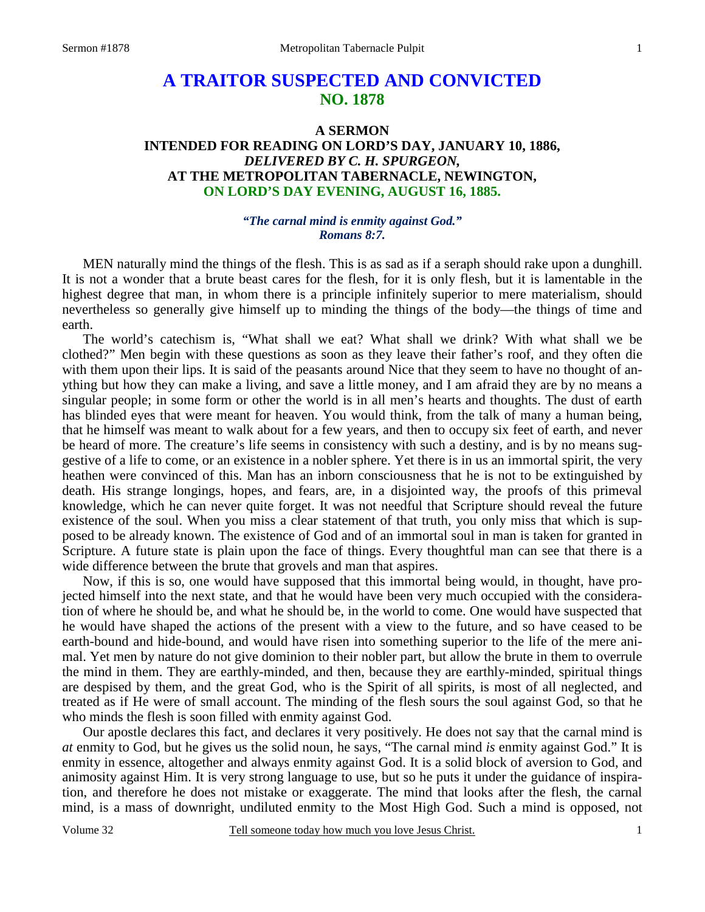# **A TRAITOR SUSPECTED AND CONVICTED NO. 1878**

## **A SERMON INTENDED FOR READING ON LORD'S DAY, JANUARY 10, 1886,**  *DELIVERED BY C. H. SPURGEON,*  **AT THE METROPOLITAN TABERNACLE, NEWINGTON, ON LORD'S DAY EVENING, AUGUST 16, 1885.**

## *"The carnal mind is enmity against God." Romans 8:7.*

MEN naturally mind the things of the flesh. This is as sad as if a seraph should rake upon a dunghill. It is not a wonder that a brute beast cares for the flesh, for it is only flesh, but it is lamentable in the highest degree that man, in whom there is a principle infinitely superior to mere materialism, should nevertheless so generally give himself up to minding the things of the body—the things of time and earth.

 The world's catechism is, "What shall we eat? What shall we drink? With what shall we be clothed?" Men begin with these questions as soon as they leave their father's roof, and they often die with them upon their lips. It is said of the peasants around Nice that they seem to have no thought of anything but how they can make a living, and save a little money, and I am afraid they are by no means a singular people; in some form or other the world is in all men's hearts and thoughts. The dust of earth has blinded eyes that were meant for heaven. You would think, from the talk of many a human being, that he himself was meant to walk about for a few years, and then to occupy six feet of earth, and never be heard of more. The creature's life seems in consistency with such a destiny, and is by no means suggestive of a life to come, or an existence in a nobler sphere. Yet there is in us an immortal spirit, the very heathen were convinced of this. Man has an inborn consciousness that he is not to be extinguished by death. His strange longings, hopes, and fears, are, in a disjointed way, the proofs of this primeval knowledge, which he can never quite forget. It was not needful that Scripture should reveal the future existence of the soul. When you miss a clear statement of that truth, you only miss that which is supposed to be already known. The existence of God and of an immortal soul in man is taken for granted in Scripture. A future state is plain upon the face of things. Every thoughtful man can see that there is a wide difference between the brute that grovels and man that aspires.

 Now, if this is so, one would have supposed that this immortal being would, in thought, have projected himself into the next state, and that he would have been very much occupied with the consideration of where he should be, and what he should be, in the world to come. One would have suspected that he would have shaped the actions of the present with a view to the future, and so have ceased to be earth-bound and hide-bound, and would have risen into something superior to the life of the mere animal. Yet men by nature do not give dominion to their nobler part, but allow the brute in them to overrule the mind in them. They are earthly-minded, and then, because they are earthly-minded, spiritual things are despised by them, and the great God, who is the Spirit of all spirits, is most of all neglected, and treated as if He were of small account. The minding of the flesh sours the soul against God, so that he who minds the flesh is soon filled with enmity against God.

 Our apostle declares this fact, and declares it very positively. He does not say that the carnal mind is *at* enmity to God, but he gives us the solid noun, he says, "The carnal mind *is* enmity against God." It is enmity in essence, altogether and always enmity against God. It is a solid block of aversion to God, and animosity against Him. It is very strong language to use, but so he puts it under the guidance of inspiration, and therefore he does not mistake or exaggerate. The mind that looks after the flesh, the carnal mind, is a mass of downright, undiluted enmity to the Most High God. Such a mind is opposed, not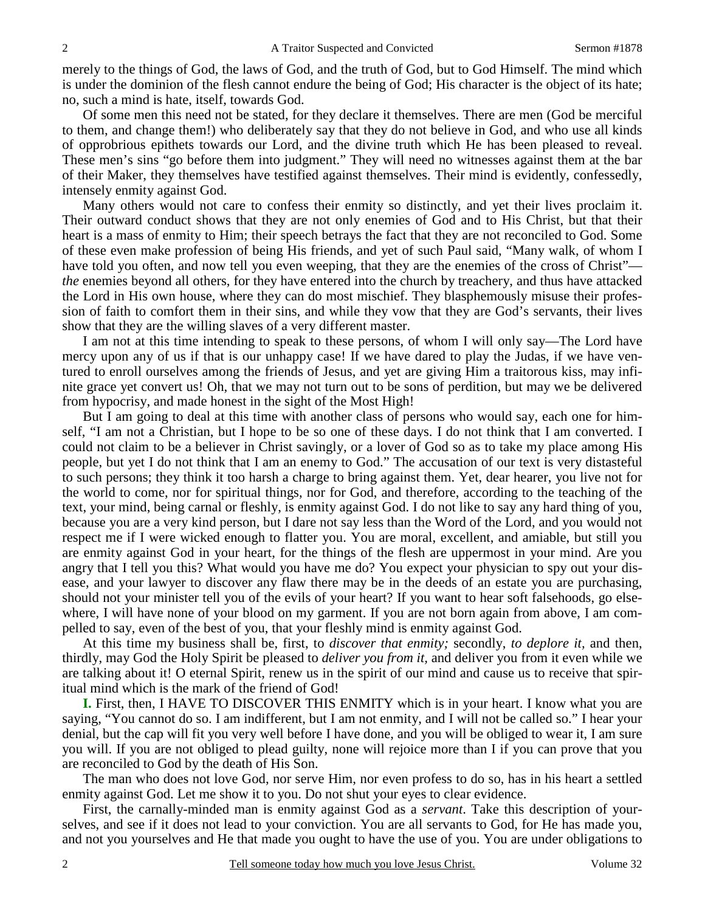merely to the things of God, the laws of God, and the truth of God, but to God Himself. The mind which is under the dominion of the flesh cannot endure the being of God; His character is the object of its hate; no, such a mind is hate, itself, towards God.

 Of some men this need not be stated, for they declare it themselves. There are men (God be merciful to them, and change them!) who deliberately say that they do not believe in God, and who use all kinds of opprobrious epithets towards our Lord, and the divine truth which He has been pleased to reveal. These men's sins "go before them into judgment." They will need no witnesses against them at the bar of their Maker, they themselves have testified against themselves. Their mind is evidently, confessedly, intensely enmity against God.

 Many others would not care to confess their enmity so distinctly, and yet their lives proclaim it. Their outward conduct shows that they are not only enemies of God and to His Christ, but that their heart is a mass of enmity to Him; their speech betrays the fact that they are not reconciled to God. Some of these even make profession of being His friends, and yet of such Paul said, "Many walk, of whom I have told you often, and now tell you even weeping, that they are the enemies of the cross of Christ" *the* enemies beyond all others, for they have entered into the church by treachery, and thus have attacked the Lord in His own house, where they can do most mischief. They blasphemously misuse their profession of faith to comfort them in their sins, and while they vow that they are God's servants, their lives show that they are the willing slaves of a very different master.

 I am not at this time intending to speak to these persons, of whom I will only say—The Lord have mercy upon any of us if that is our unhappy case! If we have dared to play the Judas, if we have ventured to enroll ourselves among the friends of Jesus, and yet are giving Him a traitorous kiss, may infinite grace yet convert us! Oh, that we may not turn out to be sons of perdition, but may we be delivered from hypocrisy, and made honest in the sight of the Most High!

 But I am going to deal at this time with another class of persons who would say, each one for himself, "I am not a Christian, but I hope to be so one of these days. I do not think that I am converted. I could not claim to be a believer in Christ savingly, or a lover of God so as to take my place among His people, but yet I do not think that I am an enemy to God." The accusation of our text is very distasteful to such persons; they think it too harsh a charge to bring against them. Yet, dear hearer, you live not for the world to come, nor for spiritual things, nor for God, and therefore, according to the teaching of the text, your mind, being carnal or fleshly, is enmity against God. I do not like to say any hard thing of you, because you are a very kind person, but I dare not say less than the Word of the Lord, and you would not respect me if I were wicked enough to flatter you. You are moral, excellent, and amiable, but still you are enmity against God in your heart, for the things of the flesh are uppermost in your mind. Are you angry that I tell you this? What would you have me do? You expect your physician to spy out your disease, and your lawyer to discover any flaw there may be in the deeds of an estate you are purchasing, should not your minister tell you of the evils of your heart? If you want to hear soft falsehoods, go elsewhere, I will have none of your blood on my garment. If you are not born again from above, I am compelled to say, even of the best of you, that your fleshly mind is enmity against God.

 At this time my business shall be, first, to *discover that enmity;* secondly, *to deplore it,* and then, thirdly, may God the Holy Spirit be pleased to *deliver you from it,* and deliver you from it even while we are talking about it! O eternal Spirit, renew us in the spirit of our mind and cause us to receive that spiritual mind which is the mark of the friend of God!

**I.** First, then, I HAVE TO DISCOVER THIS ENMITY which is in your heart. I know what you are saying, "You cannot do so. I am indifferent, but I am not enmity, and I will not be called so." I hear your denial, but the cap will fit you very well before I have done, and you will be obliged to wear it, I am sure you will. If you are not obliged to plead guilty, none will rejoice more than I if you can prove that you are reconciled to God by the death of His Son.

 The man who does not love God, nor serve Him, nor even profess to do so, has in his heart a settled enmity against God. Let me show it to you. Do not shut your eyes to clear evidence.

 First, the carnally-minded man is enmity against God as a *servant*. Take this description of yourselves, and see if it does not lead to your conviction. You are all servants to God, for He has made you, and not you yourselves and He that made you ought to have the use of you. You are under obligations to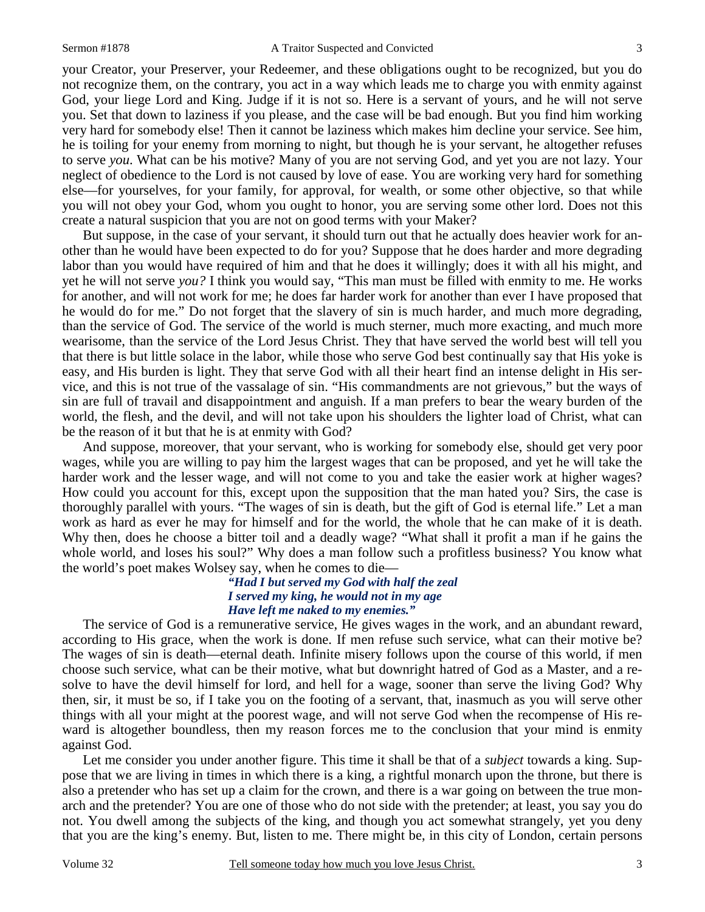your Creator, your Preserver, your Redeemer, and these obligations ought to be recognized, but you do not recognize them, on the contrary, you act in a way which leads me to charge you with enmity against God, your liege Lord and King. Judge if it is not so. Here is a servant of yours, and he will not serve you. Set that down to laziness if you please, and the case will be bad enough. But you find him working very hard for somebody else! Then it cannot be laziness which makes him decline your service. See him, he is toiling for your enemy from morning to night, but though he is your servant, he altogether refuses to serve *you*. What can be his motive? Many of you are not serving God, and yet you are not lazy. Your neglect of obedience to the Lord is not caused by love of ease. You are working very hard for something else—for yourselves, for your family, for approval, for wealth, or some other objective, so that while you will not obey your God, whom you ought to honor, you are serving some other lord. Does not this create a natural suspicion that you are not on good terms with your Maker?

 But suppose, in the case of your servant, it should turn out that he actually does heavier work for another than he would have been expected to do for you? Suppose that he does harder and more degrading labor than you would have required of him and that he does it willingly; does it with all his might, and yet he will not serve *you?* I think you would say, "This man must be filled with enmity to me. He works for another, and will not work for me; he does far harder work for another than ever I have proposed that he would do for me." Do not forget that the slavery of sin is much harder, and much more degrading, than the service of God. The service of the world is much sterner, much more exacting, and much more wearisome, than the service of the Lord Jesus Christ. They that have served the world best will tell you that there is but little solace in the labor, while those who serve God best continually say that His yoke is easy, and His burden is light. They that serve God with all their heart find an intense delight in His service, and this is not true of the vassalage of sin. "His commandments are not grievous," but the ways of sin are full of travail and disappointment and anguish. If a man prefers to bear the weary burden of the world, the flesh, and the devil, and will not take upon his shoulders the lighter load of Christ, what can be the reason of it but that he is at enmity with God?

 And suppose, moreover, that your servant, who is working for somebody else, should get very poor wages, while you are willing to pay him the largest wages that can be proposed, and yet he will take the harder work and the lesser wage, and will not come to you and take the easier work at higher wages? How could you account for this, except upon the supposition that the man hated you? Sirs, the case is thoroughly parallel with yours. "The wages of sin is death, but the gift of God is eternal life." Let a man work as hard as ever he may for himself and for the world, the whole that he can make of it is death. Why then, does he choose a bitter toil and a deadly wage? "What shall it profit a man if he gains the whole world, and loses his soul?" Why does a man follow such a profitless business? You know what the world's poet makes Wolsey say, when he comes to die—

#### *"Had I but served my God with half the zeal I served my king, he would not in my age Have left me naked to my enemies."*

The service of God is a remunerative service, He gives wages in the work, and an abundant reward, according to His grace, when the work is done. If men refuse such service, what can their motive be? The wages of sin is death—eternal death. Infinite misery follows upon the course of this world, if men choose such service, what can be their motive, what but downright hatred of God as a Master, and a resolve to have the devil himself for lord, and hell for a wage, sooner than serve the living God? Why then, sir, it must be so, if I take you on the footing of a servant, that, inasmuch as you will serve other things with all your might at the poorest wage, and will not serve God when the recompense of His reward is altogether boundless, then my reason forces me to the conclusion that your mind is enmity against God.

 Let me consider you under another figure. This time it shall be that of a *subject* towards a king. Suppose that we are living in times in which there is a king, a rightful monarch upon the throne, but there is also a pretender who has set up a claim for the crown, and there is a war going on between the true monarch and the pretender? You are one of those who do not side with the pretender; at least, you say you do not. You dwell among the subjects of the king, and though you act somewhat strangely, yet you deny that you are the king's enemy. But, listen to me. There might be, in this city of London, certain persons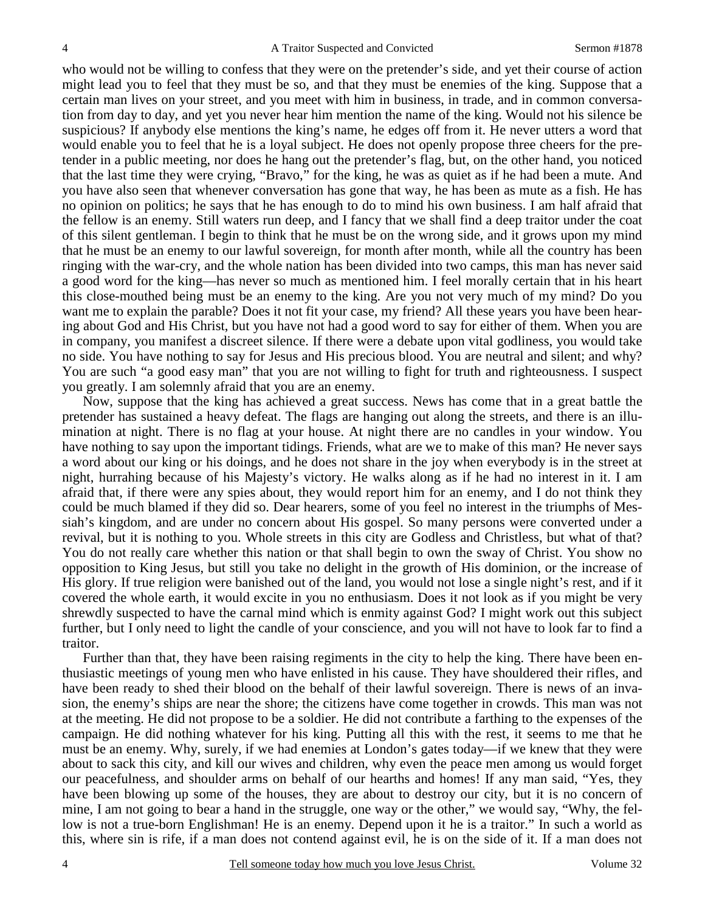who would not be willing to confess that they were on the pretender's side, and yet their course of action might lead you to feel that they must be so, and that they must be enemies of the king. Suppose that a certain man lives on your street, and you meet with him in business, in trade, and in common conversation from day to day, and yet you never hear him mention the name of the king. Would not his silence be suspicious? If anybody else mentions the king's name, he edges off from it. He never utters a word that would enable you to feel that he is a loyal subject. He does not openly propose three cheers for the pretender in a public meeting, nor does he hang out the pretender's flag, but, on the other hand, you noticed that the last time they were crying, "Bravo," for the king, he was as quiet as if he had been a mute. And you have also seen that whenever conversation has gone that way, he has been as mute as a fish. He has no opinion on politics; he says that he has enough to do to mind his own business. I am half afraid that the fellow is an enemy. Still waters run deep, and I fancy that we shall find a deep traitor under the coat of this silent gentleman. I begin to think that he must be on the wrong side, and it grows upon my mind that he must be an enemy to our lawful sovereign, for month after month, while all the country has been ringing with the war-cry, and the whole nation has been divided into two camps, this man has never said a good word for the king—has never so much as mentioned him. I feel morally certain that in his heart this close-mouthed being must be an enemy to the king. Are you not very much of my mind? Do you want me to explain the parable? Does it not fit your case, my friend? All these years you have been hearing about God and His Christ, but you have not had a good word to say for either of them. When you are in company, you manifest a discreet silence. If there were a debate upon vital godliness, you would take no side. You have nothing to say for Jesus and His precious blood. You are neutral and silent; and why? You are such "a good easy man" that you are not willing to fight for truth and righteousness. I suspect you greatly. I am solemnly afraid that you are an enemy.

 Now, suppose that the king has achieved a great success. News has come that in a great battle the pretender has sustained a heavy defeat. The flags are hanging out along the streets, and there is an illumination at night. There is no flag at your house. At night there are no candles in your window. You have nothing to say upon the important tidings. Friends, what are we to make of this man? He never says a word about our king or his doings, and he does not share in the joy when everybody is in the street at night, hurrahing because of his Majesty's victory. He walks along as if he had no interest in it. I am afraid that, if there were any spies about, they would report him for an enemy, and I do not think they could be much blamed if they did so. Dear hearers, some of you feel no interest in the triumphs of Messiah's kingdom, and are under no concern about His gospel. So many persons were converted under a revival, but it is nothing to you. Whole streets in this city are Godless and Christless, but what of that? You do not really care whether this nation or that shall begin to own the sway of Christ. You show no opposition to King Jesus, but still you take no delight in the growth of His dominion, or the increase of His glory. If true religion were banished out of the land, you would not lose a single night's rest, and if it covered the whole earth, it would excite in you no enthusiasm. Does it not look as if you might be very shrewdly suspected to have the carnal mind which is enmity against God? I might work out this subject further, but I only need to light the candle of your conscience, and you will not have to look far to find a traitor.

 Further than that, they have been raising regiments in the city to help the king. There have been enthusiastic meetings of young men who have enlisted in his cause. They have shouldered their rifles, and have been ready to shed their blood on the behalf of their lawful sovereign. There is news of an invasion, the enemy's ships are near the shore; the citizens have come together in crowds. This man was not at the meeting. He did not propose to be a soldier. He did not contribute a farthing to the expenses of the campaign. He did nothing whatever for his king. Putting all this with the rest, it seems to me that he must be an enemy. Why, surely, if we had enemies at London's gates today—if we knew that they were about to sack this city, and kill our wives and children, why even the peace men among us would forget our peacefulness, and shoulder arms on behalf of our hearths and homes! If any man said, "Yes, they have been blowing up some of the houses, they are about to destroy our city, but it is no concern of mine, I am not going to bear a hand in the struggle, one way or the other," we would say, "Why, the fellow is not a true-born Englishman! He is an enemy. Depend upon it he is a traitor." In such a world as this, where sin is rife, if a man does not contend against evil, he is on the side of it. If a man does not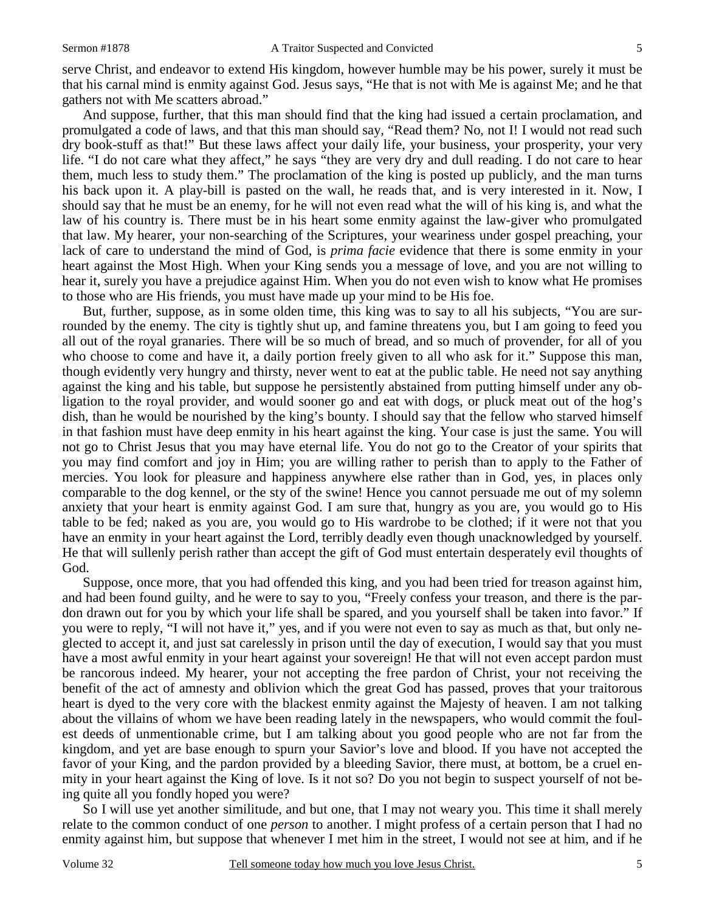serve Christ, and endeavor to extend His kingdom, however humble may be his power, surely it must be that his carnal mind is enmity against God. Jesus says, "He that is not with Me is against Me; and he that gathers not with Me scatters abroad."

 And suppose, further, that this man should find that the king had issued a certain proclamation, and promulgated a code of laws, and that this man should say, "Read them? No, not I! I would not read such dry book-stuff as that!" But these laws affect your daily life, your business, your prosperity, your very life. "I do not care what they affect," he says "they are very dry and dull reading. I do not care to hear them, much less to study them." The proclamation of the king is posted up publicly, and the man turns his back upon it. A play-bill is pasted on the wall, he reads that, and is very interested in it. Now, I should say that he must be an enemy, for he will not even read what the will of his king is, and what the law of his country is. There must be in his heart some enmity against the law-giver who promulgated that law. My hearer, your non-searching of the Scriptures, your weariness under gospel preaching, your lack of care to understand the mind of God, is *prima facie* evidence that there is some enmity in your heart against the Most High. When your King sends you a message of love, and you are not willing to hear it, surely you have a prejudice against Him. When you do not even wish to know what He promises to those who are His friends, you must have made up your mind to be His foe.

 But, further, suppose, as in some olden time, this king was to say to all his subjects, "You are surrounded by the enemy. The city is tightly shut up, and famine threatens you, but I am going to feed you all out of the royal granaries. There will be so much of bread, and so much of provender, for all of you who choose to come and have it, a daily portion freely given to all who ask for it." Suppose this man, though evidently very hungry and thirsty, never went to eat at the public table. He need not say anything against the king and his table, but suppose he persistently abstained from putting himself under any obligation to the royal provider, and would sooner go and eat with dogs, or pluck meat out of the hog's dish, than he would be nourished by the king's bounty. I should say that the fellow who starved himself in that fashion must have deep enmity in his heart against the king. Your case is just the same. You will not go to Christ Jesus that you may have eternal life. You do not go to the Creator of your spirits that you may find comfort and joy in Him; you are willing rather to perish than to apply to the Father of mercies. You look for pleasure and happiness anywhere else rather than in God, yes, in places only comparable to the dog kennel, or the sty of the swine! Hence you cannot persuade me out of my solemn anxiety that your heart is enmity against God. I am sure that, hungry as you are, you would go to His table to be fed; naked as you are, you would go to His wardrobe to be clothed; if it were not that you have an enmity in your heart against the Lord, terribly deadly even though unacknowledged by yourself. He that will sullenly perish rather than accept the gift of God must entertain desperately evil thoughts of God.

 Suppose, once more, that you had offended this king, and you had been tried for treason against him, and had been found guilty, and he were to say to you, "Freely confess your treason, and there is the pardon drawn out for you by which your life shall be spared, and you yourself shall be taken into favor." If you were to reply, "I will not have it," yes, and if you were not even to say as much as that, but only neglected to accept it, and just sat carelessly in prison until the day of execution, I would say that you must have a most awful enmity in your heart against your sovereign! He that will not even accept pardon must be rancorous indeed. My hearer, your not accepting the free pardon of Christ, your not receiving the benefit of the act of amnesty and oblivion which the great God has passed, proves that your traitorous heart is dyed to the very core with the blackest enmity against the Majesty of heaven. I am not talking about the villains of whom we have been reading lately in the newspapers, who would commit the foulest deeds of unmentionable crime, but I am talking about you good people who are not far from the kingdom, and yet are base enough to spurn your Savior's love and blood. If you have not accepted the favor of your King, and the pardon provided by a bleeding Savior, there must, at bottom, be a cruel enmity in your heart against the King of love. Is it not so? Do you not begin to suspect yourself of not being quite all you fondly hoped you were?

 So I will use yet another similitude, and but one, that I may not weary you. This time it shall merely relate to the common conduct of one *person* to another. I might profess of a certain person that I had no enmity against him, but suppose that whenever I met him in the street, I would not see at him, and if he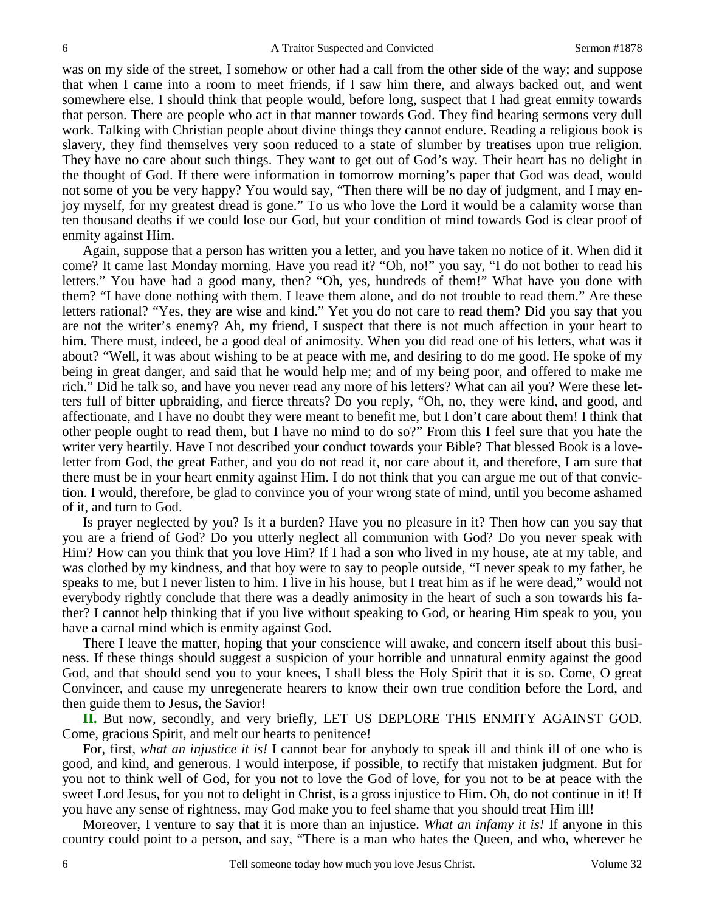was on my side of the street, I somehow or other had a call from the other side of the way; and suppose that when I came into a room to meet friends, if I saw him there, and always backed out, and went somewhere else. I should think that people would, before long, suspect that I had great enmity towards that person. There are people who act in that manner towards God. They find hearing sermons very dull work. Talking with Christian people about divine things they cannot endure. Reading a religious book is slavery, they find themselves very soon reduced to a state of slumber by treatises upon true religion. They have no care about such things. They want to get out of God's way. Their heart has no delight in the thought of God. If there were information in tomorrow morning's paper that God was dead, would not some of you be very happy? You would say, "Then there will be no day of judgment, and I may enjoy myself, for my greatest dread is gone." To us who love the Lord it would be a calamity worse than ten thousand deaths if we could lose our God, but your condition of mind towards God is clear proof of enmity against Him.

 Again, suppose that a person has written you a letter, and you have taken no notice of it. When did it come? It came last Monday morning. Have you read it? "Oh, no!" you say, "I do not bother to read his letters." You have had a good many, then? "Oh, yes, hundreds of them!" What have you done with them? "I have done nothing with them. I leave them alone, and do not trouble to read them." Are these letters rational? "Yes, they are wise and kind." Yet you do not care to read them? Did you say that you are not the writer's enemy? Ah, my friend, I suspect that there is not much affection in your heart to him. There must, indeed, be a good deal of animosity. When you did read one of his letters, what was it about? "Well, it was about wishing to be at peace with me, and desiring to do me good. He spoke of my being in great danger, and said that he would help me; and of my being poor, and offered to make me rich." Did he talk so, and have you never read any more of his letters? What can ail you? Were these letters full of bitter upbraiding, and fierce threats? Do you reply, "Oh, no, they were kind, and good, and affectionate, and I have no doubt they were meant to benefit me, but I don't care about them! I think that other people ought to read them, but I have no mind to do so?" From this I feel sure that you hate the writer very heartily. Have I not described your conduct towards your Bible? That blessed Book is a loveletter from God, the great Father, and you do not read it, nor care about it, and therefore, I am sure that there must be in your heart enmity against Him. I do not think that you can argue me out of that conviction. I would, therefore, be glad to convince you of your wrong state of mind, until you become ashamed of it, and turn to God.

 Is prayer neglected by you? Is it a burden? Have you no pleasure in it? Then how can you say that you are a friend of God? Do you utterly neglect all communion with God? Do you never speak with Him? How can you think that you love Him? If I had a son who lived in my house, ate at my table, and was clothed by my kindness, and that boy were to say to people outside, "I never speak to my father, he speaks to me, but I never listen to him. I live in his house, but I treat him as if he were dead," would not everybody rightly conclude that there was a deadly animosity in the heart of such a son towards his father? I cannot help thinking that if you live without speaking to God, or hearing Him speak to you, you have a carnal mind which is enmity against God.

 There I leave the matter, hoping that your conscience will awake, and concern itself about this business. If these things should suggest a suspicion of your horrible and unnatural enmity against the good God, and that should send you to your knees, I shall bless the Holy Spirit that it is so. Come, O great Convincer, and cause my unregenerate hearers to know their own true condition before the Lord, and then guide them to Jesus, the Savior!

**II.** But now, secondly, and very briefly, LET US DEPLORE THIS ENMITY AGAINST GOD. Come, gracious Spirit, and melt our hearts to penitence!

 For, first, *what an injustice it is!* I cannot bear for anybody to speak ill and think ill of one who is good, and kind, and generous. I would interpose, if possible, to rectify that mistaken judgment. But for you not to think well of God, for you not to love the God of love, for you not to be at peace with the sweet Lord Jesus, for you not to delight in Christ, is a gross injustice to Him. Oh, do not continue in it! If you have any sense of rightness, may God make you to feel shame that you should treat Him ill!

 Moreover, I venture to say that it is more than an injustice. *What an infamy it is!* If anyone in this country could point to a person, and say, "There is a man who hates the Queen, and who, wherever he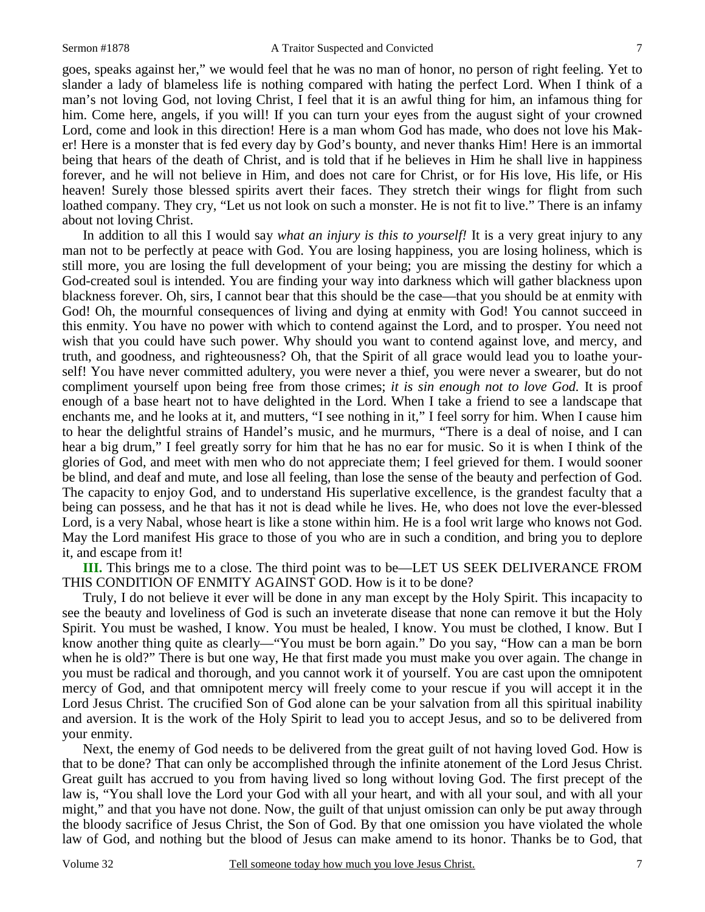goes, speaks against her," we would feel that he was no man of honor, no person of right feeling. Yet to slander a lady of blameless life is nothing compared with hating the perfect Lord. When I think of a man's not loving God, not loving Christ, I feel that it is an awful thing for him, an infamous thing for him. Come here, angels, if you will! If you can turn your eyes from the august sight of your crowned Lord, come and look in this direction! Here is a man whom God has made, who does not love his Maker! Here is a monster that is fed every day by God's bounty, and never thanks Him! Here is an immortal being that hears of the death of Christ, and is told that if he believes in Him he shall live in happiness forever, and he will not believe in Him, and does not care for Christ, or for His love, His life, or His heaven! Surely those blessed spirits avert their faces. They stretch their wings for flight from such loathed company. They cry, "Let us not look on such a monster. He is not fit to live." There is an infamy about not loving Christ.

 In addition to all this I would say *what an injury is this to yourself!* It is a very great injury to any man not to be perfectly at peace with God. You are losing happiness, you are losing holiness, which is still more, you are losing the full development of your being; you are missing the destiny for which a God-created soul is intended. You are finding your way into darkness which will gather blackness upon blackness forever. Oh, sirs, I cannot bear that this should be the case—that you should be at enmity with God! Oh, the mournful consequences of living and dying at enmity with God! You cannot succeed in this enmity. You have no power with which to contend against the Lord, and to prosper. You need not wish that you could have such power. Why should you want to contend against love, and mercy, and truth, and goodness, and righteousness? Oh, that the Spirit of all grace would lead you to loathe yourself! You have never committed adultery, you were never a thief, you were never a swearer, but do not compliment yourself upon being free from those crimes; *it is sin enough not to love God.* It is proof enough of a base heart not to have delighted in the Lord. When I take a friend to see a landscape that enchants me, and he looks at it, and mutters, "I see nothing in it," I feel sorry for him. When I cause him to hear the delightful strains of Handel's music, and he murmurs, "There is a deal of noise, and I can hear a big drum," I feel greatly sorry for him that he has no ear for music. So it is when I think of the glories of God, and meet with men who do not appreciate them; I feel grieved for them. I would sooner be blind, and deaf and mute, and lose all feeling, than lose the sense of the beauty and perfection of God. The capacity to enjoy God, and to understand His superlative excellence, is the grandest faculty that a being can possess, and he that has it not is dead while he lives. He, who does not love the ever-blessed Lord, is a very Nabal, whose heart is like a stone within him. He is a fool writ large who knows not God. May the Lord manifest His grace to those of you who are in such a condition, and bring you to deplore it, and escape from it!

**III.** This brings me to a close. The third point was to be—LET US SEEK DELIVERANCE FROM THIS CONDITION OF ENMITY AGAINST GOD. How is it to be done?

 Truly, I do not believe it ever will be done in any man except by the Holy Spirit. This incapacity to see the beauty and loveliness of God is such an inveterate disease that none can remove it but the Holy Spirit. You must be washed, I know. You must be healed, I know. You must be clothed, I know. But I know another thing quite as clearly—"You must be born again." Do you say, "How can a man be born when he is old?" There is but one way, He that first made you must make you over again. The change in you must be radical and thorough, and you cannot work it of yourself. You are cast upon the omnipotent mercy of God, and that omnipotent mercy will freely come to your rescue if you will accept it in the Lord Jesus Christ. The crucified Son of God alone can be your salvation from all this spiritual inability and aversion. It is the work of the Holy Spirit to lead you to accept Jesus, and so to be delivered from your enmity.

 Next, the enemy of God needs to be delivered from the great guilt of not having loved God. How is that to be done? That can only be accomplished through the infinite atonement of the Lord Jesus Christ. Great guilt has accrued to you from having lived so long without loving God. The first precept of the law is, "You shall love the Lord your God with all your heart, and with all your soul, and with all your might," and that you have not done. Now, the guilt of that unjust omission can only be put away through the bloody sacrifice of Jesus Christ, the Son of God. By that one omission you have violated the whole law of God, and nothing but the blood of Jesus can make amend to its honor. Thanks be to God, that